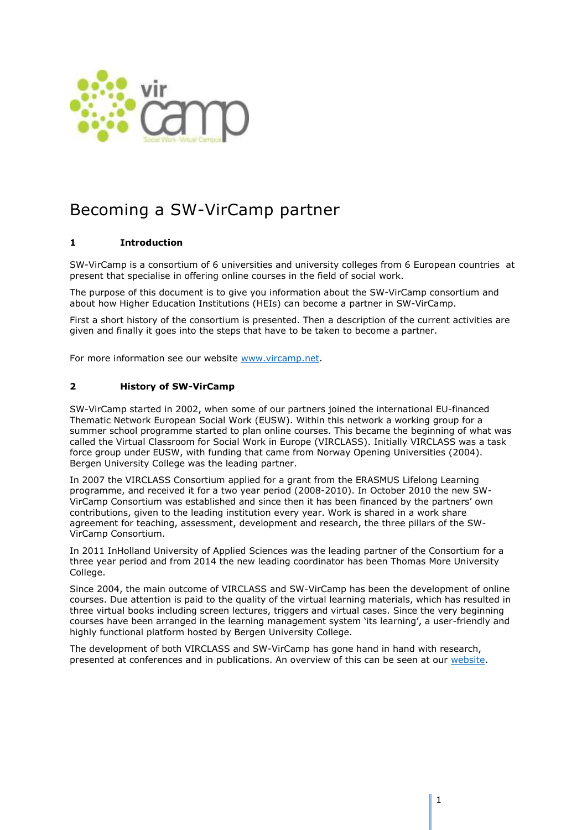

# Becoming a SW-VirCamp partner

## **1 Introduction**

SW-VirCamp is a consortium of 6 universities and university colleges from 6 European countries at present that specialise in offering online courses in the field of social work.

The purpose of this document is to give you information about the SW-VirCamp consortium and about how Higher Education Institutions (HEIs) can become a partner in SW-VirCamp.

First a short history of the consortium is presented. Then a description of the current activities are given and finally it goes into the steps that have to be taken to become a partner.

For more information see our website [www.vircamp.net.](http://www.vircamp.net/)

### **2 History of SW-VirCamp**

SW-VirCamp started in 2002, when some of our partners joined the international EU-financed Thematic Network European Social Work (EUSW). Within this network a working group for a summer school programme started to plan online courses. This became the beginning of what was called the Virtual Classroom for Social Work in Europe (VIRCLASS). Initially VIRCLASS was a task force group under EUSW, with funding that came from Norway Opening Universities (2004). Bergen University College was the leading partner.

In 2007 the VIRCLASS Consortium applied for a grant from the ERASMUS Lifelong Learning programme, and received it for a two year period (2008-2010). In October 2010 the new SW-VirCamp Consortium was established and since then it has been financed by the partners' own contributions, given to the leading institution every year. Work is shared in a work share agreement for teaching, assessment, development and research, the three pillars of the SW-VirCamp Consortium.

In 2011 InHolland University of Applied Sciences was the leading partner of the Consortium for a three year period and from 2014 the new leading coordinator has been Thomas More University College.

Since 2004, the main outcome of VIRCLASS and SW-VirCamp has been the development of online courses. Due attention is paid to the quality of the virtual learning materials, which has resulted in three virtual books including screen lectures, triggers and virtual cases. Since the very beginning courses have been arranged in the learning management system 'its learning', a user-friendly and highly functional platform hosted by Bergen University College.

The development of both VIRCLASS and SW-VirCamp has gone hand in hand with research, presented at conferences and in publications. An overview of this can be seen at our [website.](http://vircamp.net/research-and-development-centre/publications-and-presentations/)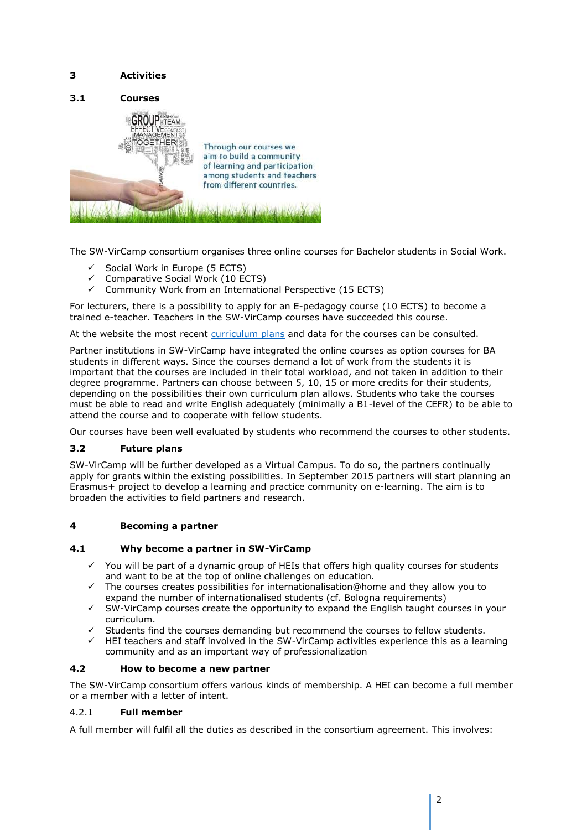## **3 Activities**



The SW-VirCamp consortium organises three online courses for Bachelor students in Social Work.

- $\checkmark$  Social Work in Europe (5 ECTS)
- $\checkmark$  Comparative Social Work (10 ECTS)
- $\checkmark$  Community Work from an International Perspective (15 ECTS)

For lecturers, there is a possibility to apply for an E-pedagogy course (10 ECTS) to become a trained e-teacher. Teachers in the SW-VirCamp courses have succeeded this course.

At the website the most recent [curriculum plans](http://vircamp.net/e-courses/) and data for the courses can be consulted.

Partner institutions in SW-VirCamp have integrated the online courses as option courses for BA students in different ways. Since the courses demand a lot of work from the students it is important that the courses are included in their total workload, and not taken in addition to their degree programme. Partners can choose between 5, 10, 15 or more credits for their students, depending on the possibilities their own curriculum plan allows. Students who take the courses must be able to read and write English adequately (minimally a B1-level of the CEFR) to be able to attend the course and to cooperate with fellow students.

Our courses have been well evaluated by students who recommend the courses to other students.

#### **3.2 Future plans**

SW-VirCamp will be further developed as a Virtual Campus. To do so, the partners continually apply for grants within the existing possibilities. In September 2015 partners will start planning an Erasmus+ project to develop a learning and practice community on e-learning. The aim is to broaden the activities to field partners and research.

#### **4 Becoming a partner**

#### **4.1 Why become a partner in SW-VirCamp**

- $\checkmark$  You will be part of a dynamic group of HEIs that offers high quality courses for students and want to be at the top of online challenges on education.
- $\checkmark$  The courses creates possibilities for internationalisation@home and they allow you to expand the number of internationalised students (cf. Bologna requirements)
- $\checkmark$  SW-VirCamp courses create the opportunity to expand the English taught courses in your curriculum.
- $\checkmark$  Students find the courses demanding but recommend the courses to fellow students.<br> $\checkmark$  HEI teachers and staff involved in the SW-VirCamn activities experience this as a local
- HEI teachers and staff involved in the SW-VirCamp activities experience this as a learning community and as an important way of professionalization

#### **4.2 How to become a new partner**

The SW-VirCamp consortium offers various kinds of membership. A HEI can become a full member or a member with a letter of intent.

### 4.2.1 **Full member**

A full member will fulfil all the duties as described in the consortium agreement. This involves: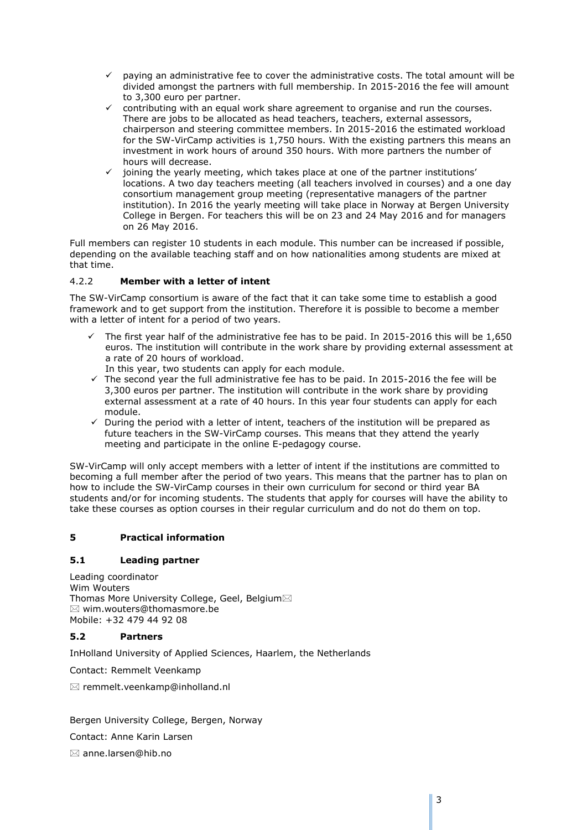- $\checkmark$  paying an administrative fee to cover the administrative costs. The total amount will be divided amongst the partners with full membership. In 2015-2016 the fee will amount to 3,300 euro per partner.
- contributing with an equal work share agreement to organise and run the courses. There are jobs to be allocated as head teachers, teachers, external assessors, chairperson and steering committee members. In 2015-2016 the estimated workload for the SW-VirCamp activities is 1,750 hours. With the existing partners this means an investment in work hours of around 350 hours. With more partners the number of hours will decrease.
- joining the yearly meeting, which takes place at one of the partner institutions' locations. A two day teachers meeting (all teachers involved in courses) and a one day consortium management group meeting (representative managers of the partner institution). In 2016 the yearly meeting will take place in Norway at Bergen University College in Bergen. For teachers this will be on 23 and 24 May 2016 and for managers on 26 May 2016.

Full members can register 10 students in each module. This number can be increased if possible, depending on the available teaching staff and on how nationalities among students are mixed at that time.

## 4.2.2 **Member with a letter of intent**

The SW-VirCamp consortium is aware of the fact that it can take some time to establish a good framework and to get support from the institution. Therefore it is possible to become a member with a letter of intent for a period of two years.

- $\checkmark$  The first year half of the administrative fee has to be paid. In 2015-2016 this will be 1,650 euros. The institution will contribute in the work share by providing external assessment at a rate of 20 hours of workload.
	- In this year, two students can apply for each module.
- $\checkmark$  The second year the full administrative fee has to be paid. In 2015-2016 the fee will be 3,300 euros per partner. The institution will contribute in the work share by providing external assessment at a rate of 40 hours. In this year four students can apply for each module.
- $\checkmark$  During the period with a letter of intent, teachers of the institution will be prepared as future teachers in the SW-VirCamp courses. This means that they attend the yearly meeting and participate in the online E-pedagogy course.

SW-VirCamp will only accept members with a letter of intent if the institutions are committed to becoming a full member after the period of two years. This means that the partner has to plan on how to include the SW-VirCamp courses in their own curriculum for second or third year BA students and/or for incoming students. The students that apply for courses will have the ability to take these courses as option courses in their regular curriculum and do not do them on top.

## **5 Practical information**

## **5.1 Leading partner**

Leading coordinator Wim Wouters Thomas More University College, Geel, Belgium  $\boxtimes$  [wim.wouters@thomasmore.be](mailto:wim.wouters@thomasmore.be) Mobile: +32 479 44 92 08

## **5.2 Partners**

InHolland University of Applied Sciences, Haarlem, the Netherlands

Contact: Remmelt Veenkamp

 $\boxtimes$  remmelt.veenkamp@inholland.nl

Bergen University College, Bergen, Norway Contact: Anne Karin Larsen anne.larsen@hib.no